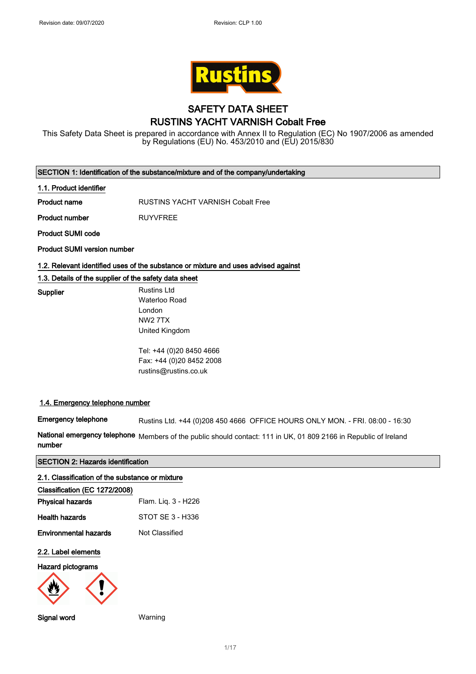

## SAFETY DATA SHEET RUSTINS YACHT VARNISH Cobalt Free

This Safety Data Sheet is prepared in accordance with Annex II to Regulation (EC) No 1907/2006 as amended by Regulations (EU) No. 453/2010 and (EU) 2015/830

| SECTION 1: Identification of the substance/mixture and of the company/undertaking |  |  |  |
|-----------------------------------------------------------------------------------|--|--|--|
|-----------------------------------------------------------------------------------|--|--|--|

#### 1.1. Product identifier

Product name RUSTINS YACHT VARNISH Cobalt Free

Product number RUYVFREE

Product SUMI code

Supplier

Product SUMI version number

#### 1.2. Relevant identified uses of the substance or mixture and uses advised against

### 1.3. Details of the supplier of the safety data sheet

| <b>Rustins Ltd</b> |
|--------------------|
| Waterloo Road      |
| London             |
| NW2 7TX            |
| United Kingdom     |
|                    |

Tel: +44 (0)20 8450 4666 Fax: +44 (0)20 8452 2008 rustins@rustins.co.uk

### 1.4. Emergency telephone number

Emergency telephone Rustins Ltd. +44 (0)208 450 4666 OFFICE HOURS ONLY MON. - FRI. 08:00 - 16:30

National emergency telephone Members of the public should contact: 111 in UK, 01 809 2166 in Republic of Ireland number

## SECTION 2: Hazards identification

| 2.1. Classification of the substance or mixture |                     |
|-------------------------------------------------|---------------------|
| Classification (EC 1272/2008)                   |                     |
| <b>Physical hazards</b>                         | Flam. Liq. 3 - H226 |
| <b>Health hazards</b>                           | STOT SE 3 - H336    |
| <b>Environmental hazards</b>                    | Not Classified      |
| 2.2. Label elements                             |                     |
| Hazard pictograms                               |                     |
|                                                 |                     |
| Signal word                                     | Warning             |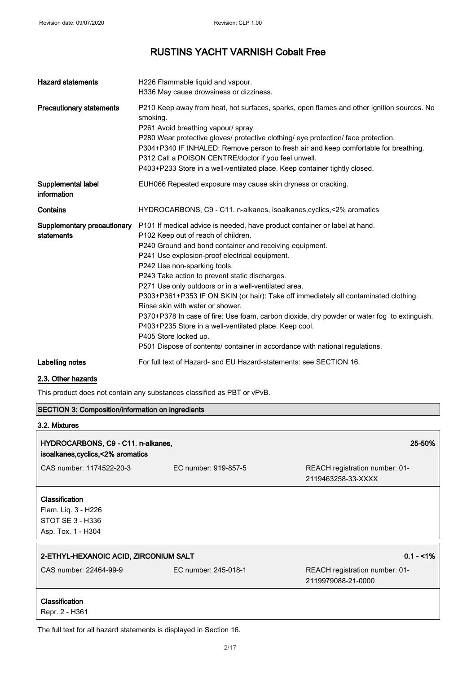| <b>Hazard statements</b>                  | H226 Flammable liquid and vapour.<br>H336 May cause drowsiness or dizziness.                                                                                                                                                                                                                                                                                                                                                                                                                                                                                                                                                                                                                                                                                           |
|-------------------------------------------|------------------------------------------------------------------------------------------------------------------------------------------------------------------------------------------------------------------------------------------------------------------------------------------------------------------------------------------------------------------------------------------------------------------------------------------------------------------------------------------------------------------------------------------------------------------------------------------------------------------------------------------------------------------------------------------------------------------------------------------------------------------------|
| <b>Precautionary statements</b>           | P210 Keep away from heat, hot surfaces, sparks, open flames and other ignition sources. No<br>smoking.<br>P261 Avoid breathing vapour/ spray.<br>P280 Wear protective gloves/ protective clothing/ eye protection/ face protection.<br>P304+P340 IF INHALED: Remove person to fresh air and keep comfortable for breathing.<br>P312 Call a POISON CENTRE/doctor if you feel unwell.<br>P403+P233 Store in a well-ventilated place. Keep container tightly closed.                                                                                                                                                                                                                                                                                                      |
| Supplemental label<br>information         | EUH066 Repeated exposure may cause skin dryness or cracking.                                                                                                                                                                                                                                                                                                                                                                                                                                                                                                                                                                                                                                                                                                           |
| Contains                                  | HYDROCARBONS, C9 - C11. n-alkanes, isoalkanes, cyclics, <2% aromatics                                                                                                                                                                                                                                                                                                                                                                                                                                                                                                                                                                                                                                                                                                  |
| Supplementary precautionary<br>statements | P101 If medical advice is needed, have product container or label at hand.<br>P102 Keep out of reach of children.<br>P240 Ground and bond container and receiving equipment.<br>P241 Use explosion-proof electrical equipment.<br>P242 Use non-sparking tools.<br>P243 Take action to prevent static discharges.<br>P271 Use only outdoors or in a well-ventilated area.<br>P303+P361+P353 IF ON SKIN (or hair): Take off immediately all contaminated clothing.<br>Rinse skin with water or shower.<br>P370+P378 In case of fire: Use foam, carbon dioxide, dry powder or water fog to extinguish.<br>P403+P235 Store in a well-ventilated place. Keep cool.<br>P405 Store locked up.<br>P501 Dispose of contents/ container in accordance with national regulations. |
| Labelling notes                           | For full text of Hazard- and EU Hazard-statements: see SECTION 16.                                                                                                                                                                                                                                                                                                                                                                                                                                                                                                                                                                                                                                                                                                     |

## 2.3. Other hazards

This product does not contain any substances classified as PBT or vPvB.

| <b>SECTION 3: Composition/information on ingredients</b>                               |                      |                                                      |
|----------------------------------------------------------------------------------------|----------------------|------------------------------------------------------|
| 3.2. Mixtures                                                                          |                      |                                                      |
| HYDROCARBONS, C9 - C11. n-alkanes,<br>isoalkanes, cyclics, < 2% aromatics              |                      | 25-50%                                               |
| CAS number: 1174522-20-3                                                               | FC number: 919-857-5 | REACH registration number: 01-<br>2119463258-33-XXXX |
| <b>Classification</b><br>Flam. Liq. 3 - H226<br>STOT SE 3 - H336<br>Asp. Tox. 1 - H304 |                      |                                                      |
| 2-ETHYL-HEXANOIC ACID, ZIRCONIUM SALT                                                  |                      | $0.1 - 1\%$                                          |
| CAS number: 22464-99-9                                                                 | EC number: 245-018-1 | REACH registration number: 01-<br>2119979088-21-0000 |
| Classification<br>Repr. 2 - H361                                                       |                      |                                                      |
| The full text for all hazard statements is displayed in Section 16.                    |                      |                                                      |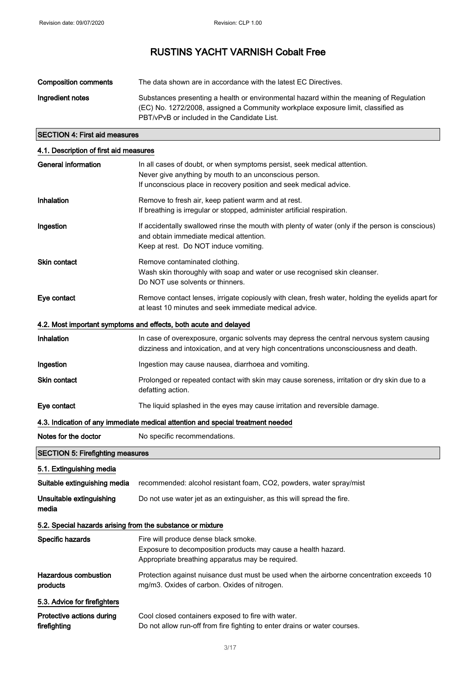| <b>Composition comments</b> | The data shown are in accordance with the latest EC Directives.                                                                                                                                                            |
|-----------------------------|----------------------------------------------------------------------------------------------------------------------------------------------------------------------------------------------------------------------------|
| Ingredient notes            | Substances presenting a health or environmental hazard within the meaning of Regulation<br>(EC) No. 1272/2008, assigned a Community workplace exposure limit, classified as<br>PBT/vPvB or included in the Candidate List. |

## SECTION 4: First aid measures

| 4.1. Description of first aid measures                     |                                                                                                                                                                                                          |  |  |
|------------------------------------------------------------|----------------------------------------------------------------------------------------------------------------------------------------------------------------------------------------------------------|--|--|
| <b>General information</b>                                 | In all cases of doubt, or when symptoms persist, seek medical attention.<br>Never give anything by mouth to an unconscious person.<br>If unconscious place in recovery position and seek medical advice. |  |  |
| Inhalation                                                 | Remove to fresh air, keep patient warm and at rest.<br>If breathing is irregular or stopped, administer artificial respiration.                                                                          |  |  |
| Ingestion                                                  | If accidentally swallowed rinse the mouth with plenty of water (only if the person is conscious)<br>and obtain immediate medical attention.<br>Keep at rest. Do NOT induce vomiting.                     |  |  |
| <b>Skin contact</b>                                        | Remove contaminated clothing.<br>Wash skin thoroughly with soap and water or use recognised skin cleanser.<br>Do NOT use solvents or thinners.                                                           |  |  |
| Eye contact                                                | Remove contact lenses, irrigate copiously with clean, fresh water, holding the eyelids apart for<br>at least 10 minutes and seek immediate medical advice.                                               |  |  |
|                                                            | 4.2. Most important symptoms and effects, both acute and delayed                                                                                                                                         |  |  |
| Inhalation                                                 | In case of overexposure, organic solvents may depress the central nervous system causing<br>dizziness and intoxication, and at very high concentrations unconsciousness and death.                       |  |  |
| Ingestion                                                  | Ingestion may cause nausea, diarrhoea and vomiting.                                                                                                                                                      |  |  |
| Skin contact                                               | Prolonged or repeated contact with skin may cause soreness, irritation or dry skin due to a<br>defatting action.                                                                                         |  |  |
| Eye contact                                                | The liquid splashed in the eyes may cause irritation and reversible damage.                                                                                                                              |  |  |
|                                                            | 4.3. Indication of any immediate medical attention and special treatment needed                                                                                                                          |  |  |
| Notes for the doctor                                       | No specific recommendations.                                                                                                                                                                             |  |  |
| <b>SECTION 5: Firefighting measures</b>                    |                                                                                                                                                                                                          |  |  |
| 5.1. Extinguishing media                                   |                                                                                                                                                                                                          |  |  |
| Suitable extinguishing media                               | recommended: alcohol resistant foam, CO2, powders, water spray/mist                                                                                                                                      |  |  |
| Unsuitable extinguishing<br>media                          | Do not use water jet as an extinguisher, as this will spread the fire.                                                                                                                                   |  |  |
| 5.2. Special hazards arising from the substance or mixture |                                                                                                                                                                                                          |  |  |
| Specific hazards                                           | Fire will produce dense black smoke.<br>Exposure to decomposition products may cause a health hazard.<br>Appropriate breathing apparatus may be required.                                                |  |  |
| Hazardous combustion<br>products                           | Protection against nuisance dust must be used when the airborne concentration exceeds 10<br>mg/m3. Oxides of carbon. Oxides of nitrogen.                                                                 |  |  |
| 5.3. Advice for firefighters                               |                                                                                                                                                                                                          |  |  |
| Protective actions during<br>firefighting                  | Cool closed containers exposed to fire with water.<br>Do not allow run-off from fire fighting to enter drains or water courses.                                                                          |  |  |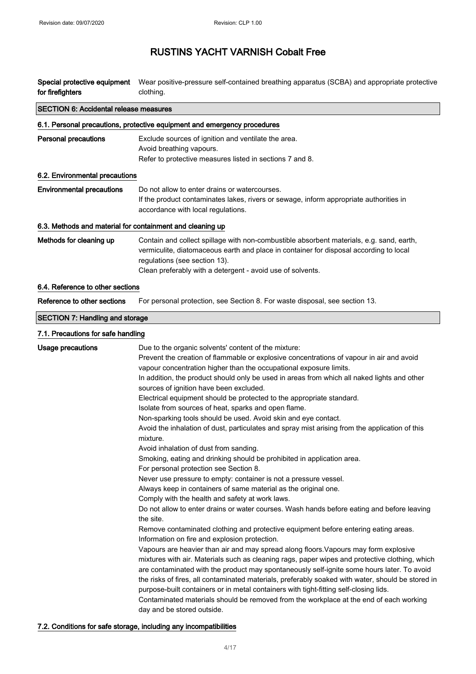|                                                                                                                          |                  | <b>SECTION 6: Accidental release measures</b> |
|--------------------------------------------------------------------------------------------------------------------------|------------------|-----------------------------------------------|
| Special protective equipment Wear positive-pressure self-contained breathing apparatus (SCBA) and appropriate protective | for firefighters | clothing.                                     |

|                                                           | 6.1. Personal precautions, protective equipment and emergency procedures                                                                                                                                                                                                                                                                                                                                                                                                                                                                                                                                                                                                                                                                                                                                                                                                                                                                                                                                                                                                                                                                                                                                                                                                                                                                                                                                                                                                                                                                                                                                                                                                                                                                                                                                                                                                                                   |  |  |
|-----------------------------------------------------------|------------------------------------------------------------------------------------------------------------------------------------------------------------------------------------------------------------------------------------------------------------------------------------------------------------------------------------------------------------------------------------------------------------------------------------------------------------------------------------------------------------------------------------------------------------------------------------------------------------------------------------------------------------------------------------------------------------------------------------------------------------------------------------------------------------------------------------------------------------------------------------------------------------------------------------------------------------------------------------------------------------------------------------------------------------------------------------------------------------------------------------------------------------------------------------------------------------------------------------------------------------------------------------------------------------------------------------------------------------------------------------------------------------------------------------------------------------------------------------------------------------------------------------------------------------------------------------------------------------------------------------------------------------------------------------------------------------------------------------------------------------------------------------------------------------------------------------------------------------------------------------------------------------|--|--|
| <b>Personal precautions</b>                               | Exclude sources of ignition and ventilate the area.<br>Avoid breathing vapours.<br>Refer to protective measures listed in sections 7 and 8.                                                                                                                                                                                                                                                                                                                                                                                                                                                                                                                                                                                                                                                                                                                                                                                                                                                                                                                                                                                                                                                                                                                                                                                                                                                                                                                                                                                                                                                                                                                                                                                                                                                                                                                                                                |  |  |
| 6.2. Environmental precautions                            |                                                                                                                                                                                                                                                                                                                                                                                                                                                                                                                                                                                                                                                                                                                                                                                                                                                                                                                                                                                                                                                                                                                                                                                                                                                                                                                                                                                                                                                                                                                                                                                                                                                                                                                                                                                                                                                                                                            |  |  |
| <b>Environmental precautions</b>                          | Do not allow to enter drains or watercourses.<br>If the product contaminates lakes, rivers or sewage, inform appropriate authorities in<br>accordance with local regulations.                                                                                                                                                                                                                                                                                                                                                                                                                                                                                                                                                                                                                                                                                                                                                                                                                                                                                                                                                                                                                                                                                                                                                                                                                                                                                                                                                                                                                                                                                                                                                                                                                                                                                                                              |  |  |
| 6.3. Methods and material for containment and cleaning up |                                                                                                                                                                                                                                                                                                                                                                                                                                                                                                                                                                                                                                                                                                                                                                                                                                                                                                                                                                                                                                                                                                                                                                                                                                                                                                                                                                                                                                                                                                                                                                                                                                                                                                                                                                                                                                                                                                            |  |  |
| Methods for cleaning up                                   | Contain and collect spillage with non-combustible absorbent materials, e.g. sand, earth,<br>vermiculite, diatomaceous earth and place in container for disposal according to local<br>regulations (see section 13).<br>Clean preferably with a detergent - avoid use of solvents.                                                                                                                                                                                                                                                                                                                                                                                                                                                                                                                                                                                                                                                                                                                                                                                                                                                                                                                                                                                                                                                                                                                                                                                                                                                                                                                                                                                                                                                                                                                                                                                                                          |  |  |
| 6.4. Reference to other sections                          |                                                                                                                                                                                                                                                                                                                                                                                                                                                                                                                                                                                                                                                                                                                                                                                                                                                                                                                                                                                                                                                                                                                                                                                                                                                                                                                                                                                                                                                                                                                                                                                                                                                                                                                                                                                                                                                                                                            |  |  |
| Reference to other sections                               | For personal protection, see Section 8. For waste disposal, see section 13.                                                                                                                                                                                                                                                                                                                                                                                                                                                                                                                                                                                                                                                                                                                                                                                                                                                                                                                                                                                                                                                                                                                                                                                                                                                                                                                                                                                                                                                                                                                                                                                                                                                                                                                                                                                                                                |  |  |
| <b>SECTION 7: Handling and storage</b>                    |                                                                                                                                                                                                                                                                                                                                                                                                                                                                                                                                                                                                                                                                                                                                                                                                                                                                                                                                                                                                                                                                                                                                                                                                                                                                                                                                                                                                                                                                                                                                                                                                                                                                                                                                                                                                                                                                                                            |  |  |
| 7.1. Precautions for safe handling                        |                                                                                                                                                                                                                                                                                                                                                                                                                                                                                                                                                                                                                                                                                                                                                                                                                                                                                                                                                                                                                                                                                                                                                                                                                                                                                                                                                                                                                                                                                                                                                                                                                                                                                                                                                                                                                                                                                                            |  |  |
| <b>Usage precautions</b>                                  | Due to the organic solvents' content of the mixture:<br>Prevent the creation of flammable or explosive concentrations of vapour in air and avoid<br>vapour concentration higher than the occupational exposure limits.<br>In addition, the product should only be used in areas from which all naked lights and other<br>sources of ignition have been excluded.<br>Electrical equipment should be protected to the appropriate standard.<br>Isolate from sources of heat, sparks and open flame.<br>Non-sparking tools should be used. Avoid skin and eye contact.<br>Avoid the inhalation of dust, particulates and spray mist arising from the application of this<br>mixture.<br>Avoid inhalation of dust from sanding.<br>Smoking, eating and drinking should be prohibited in application area.<br>For personal protection see Section 8.<br>Never use pressure to empty: container is not a pressure vessel.<br>Always keep in containers of same material as the original one.<br>Comply with the health and safety at work laws.<br>Do not allow to enter drains or water courses. Wash hands before eating and before leaving<br>the site.<br>Remove contaminated clothing and protective equipment before entering eating areas.<br>Information on fire and explosion protection.<br>Vapours are heavier than air and may spread along floors. Vapours may form explosive<br>mixtures with air. Materials such as cleaning rags, paper wipes and protective clothing, which<br>are contaminated with the product may spontaneously self-ignite some hours later. To avoid<br>the risks of fires, all contaminated materials, preferably soaked with water, should be stored in<br>purpose-built containers or in metal containers with tight-fitting self-closing lids.<br>Contaminated materials should be removed from the workplace at the end of each working<br>day and be stored outside. |  |  |

## 7.2. Conditions for safe storage, including any incompatibilities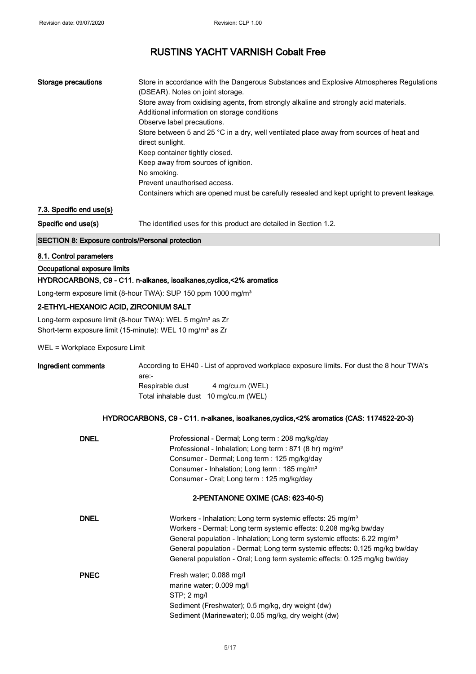| Storage precautions | Store in accordance with the Dangerous Substances and Explosive Atmospheres Regulations     |
|---------------------|---------------------------------------------------------------------------------------------|
|                     | (DSEAR). Notes on joint storage.                                                            |
|                     | Store away from oxidising agents, from strongly alkaline and strongly acid materials.       |
|                     | Additional information on storage conditions                                                |
|                     | Observe label precautions.                                                                  |
|                     | Store between 5 and 25 °C in a dry, well ventilated place away from sources of heat and     |
|                     | direct sunlight.                                                                            |
|                     | Keep container tightly closed.                                                              |
|                     | Keep away from sources of ignition.                                                         |
|                     | No smoking.                                                                                 |
|                     | Prevent unauthorised access.                                                                |
|                     | Containers which are opened must be carefully resealed and kept upright to prevent leakage. |

## 7.3. Specific end use(s)

Specific end use(s) The identified uses for this product are detailed in Section 1.2.

## SECTION 8: Exposure controls/Personal protection

#### 8.1. Control parameters

### Occupational exposure limits

#### HYDROCARBONS, C9 - C11. n-alkanes, isoalkanes,cyclics,<2% aromatics

Long-term exposure limit (8-hour TWA): SUP 150 ppm 1000 mg/m<sup>3</sup>

## 2-ETHYL-HEXANOIC ACID, ZIRCONIUM SALT

Long-term exposure limit (8-hour TWA): WEL 5 mg/m<sup>3</sup> as Zr Short-term exposure limit (15-minute): WEL 10 mg/m<sup>3</sup> as Zr

WEL = Workplace Exposure Limit

| Ingredient comments |                                       |                 | According to EH40 - List of approved workplace exposure limits. For dust the 8 hour TWA's |
|---------------------|---------------------------------------|-----------------|-------------------------------------------------------------------------------------------|
|                     | are:-                                 |                 |                                                                                           |
|                     | Respirable dust                       | 4 mg/cu.m (WEL) |                                                                                           |
|                     | Total inhalable dust 10 mg/cu.m (WEL) |                 |                                                                                           |

### HYDROCARBONS, C9 - C11. n-alkanes, isoalkanes,cyclics,<2% aromatics (CAS: 1174522-20-3)

| <b>DNEL</b> | Professional - Dermal; Long term : 208 mg/kg/day<br>Professional - Inhalation; Long term : 871 (8 hr) mg/m <sup>3</sup><br>Consumer - Dermal; Long term : 125 mg/kg/day<br>Consumer - Inhalation; Long term : 185 mg/m <sup>3</sup><br>Consumer - Oral; Long term : 125 mg/kg/day                                                                                                             |
|-------------|-----------------------------------------------------------------------------------------------------------------------------------------------------------------------------------------------------------------------------------------------------------------------------------------------------------------------------------------------------------------------------------------------|
|             | 2-PENTANONE OXIME (CAS: 623-40-5)                                                                                                                                                                                                                                                                                                                                                             |
| <b>DNEL</b> | Workers - Inhalation; Long term systemic effects: 25 mg/m <sup>3</sup><br>Workers - Dermal; Long term systemic effects: 0.208 mg/kg bw/day<br>General population - Inhalation; Long term systemic effects: 6.22 mg/m <sup>3</sup><br>General population - Dermal; Long term systemic effects: 0.125 mg/kg bw/day<br>General population - Oral; Long term systemic effects: 0.125 mg/kg bw/day |
| <b>PNEC</b> | Fresh water; 0.088 mg/l<br>marine water; 0.009 mg/l<br>$STP: 2$ mg/l<br>Sediment (Freshwater); 0.5 mg/kg, dry weight (dw)<br>Sediment (Marinewater); 0.05 mg/kg, dry weight (dw)                                                                                                                                                                                                              |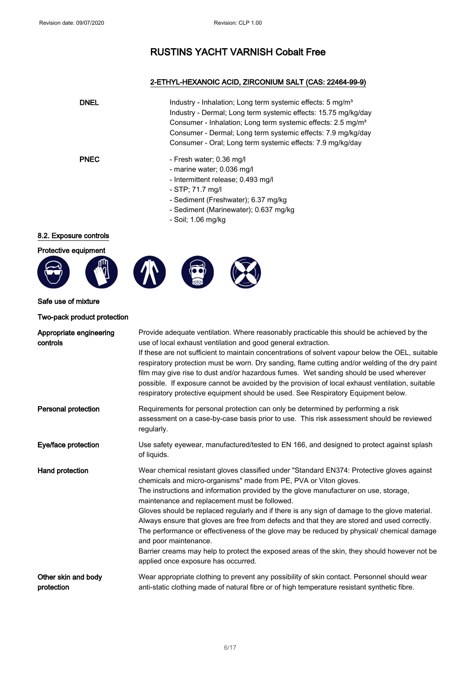## 2-ETHYL-HEXANOIC ACID, ZIRCONIUM SALT (CAS: 22464-99-9)

| <b>DNEL</b> | Industry - Inhalation; Long term systemic effects: 5 mg/m <sup>3</sup><br>Industry - Dermal; Long term systemic effects: 15.75 mg/kg/day<br>Consumer - Inhalation; Long term systemic effects: 2.5 mg/m <sup>3</sup><br>Consumer - Dermal; Long term systemic effects: 7.9 mg/kg/day<br>Consumer - Oral; Long term systemic effects: 7.9 mg/kg/day |
|-------------|----------------------------------------------------------------------------------------------------------------------------------------------------------------------------------------------------------------------------------------------------------------------------------------------------------------------------------------------------|
| <b>PNEC</b> | - Fresh water; 0.36 mg/l<br>- marine water; 0.036 mg/l<br>- Intermittent release; 0.493 mg/l<br>- STP; 71.7 mg/l<br>- Sediment (Freshwater); 6.37 mg/kg<br>- Sediment (Marinewater); 0.637 mg/kg                                                                                                                                                   |

- Soil; 1.06 mg/kg

## 8.2. Exposure controls

Protective equipment









Safe use of mixture

Two-pack product protection

| Appropriate engineering<br>controls | Provide adequate ventilation. Where reasonably practicable this should be achieved by the<br>use of local exhaust ventilation and good general extraction.<br>If these are not sufficient to maintain concentrations of solvent vapour below the OEL, suitable<br>respiratory protection must be worn. Dry sanding, flame cutting and/or welding of the dry paint<br>film may give rise to dust and/or hazardous fumes. Wet sanding should be used wherever<br>possible. If exposure cannot be avoided by the provision of local exhaust ventilation, suitable<br>respiratory protective equipment should be used. See Respiratory Equipment below.                                                                                                                    |
|-------------------------------------|------------------------------------------------------------------------------------------------------------------------------------------------------------------------------------------------------------------------------------------------------------------------------------------------------------------------------------------------------------------------------------------------------------------------------------------------------------------------------------------------------------------------------------------------------------------------------------------------------------------------------------------------------------------------------------------------------------------------------------------------------------------------|
| Personal protection                 | Requirements for personal protection can only be determined by performing a risk<br>assessment on a case-by-case basis prior to use. This risk assessment should be reviewed<br>regularly.                                                                                                                                                                                                                                                                                                                                                                                                                                                                                                                                                                             |
| Eye/face protection                 | Use safety eyewear, manufactured/tested to EN 166, and designed to protect against splash<br>of liquids.                                                                                                                                                                                                                                                                                                                                                                                                                                                                                                                                                                                                                                                               |
| Hand protection                     | Wear chemical resistant gloves classified under "Standard EN374: Protective gloves against<br>chemicals and micro-organisms" made from PE, PVA or Viton gloves.<br>The instructions and information provided by the glove manufacturer on use, storage,<br>maintenance and replacement must be followed.<br>Gloves should be replaced regularly and if there is any sign of damage to the glove material.<br>Always ensure that gloves are free from defects and that they are stored and used correctly.<br>The performance or effectiveness of the glove may be reduced by physical/ chemical damage<br>and poor maintenance.<br>Barrier creams may help to protect the exposed areas of the skin, they should however not be<br>applied once exposure has occurred. |
| Other skin and body<br>protection   | Wear appropriate clothing to prevent any possibility of skin contact. Personnel should wear<br>anti-static clothing made of natural fibre or of high temperature resistant synthetic fibre.                                                                                                                                                                                                                                                                                                                                                                                                                                                                                                                                                                            |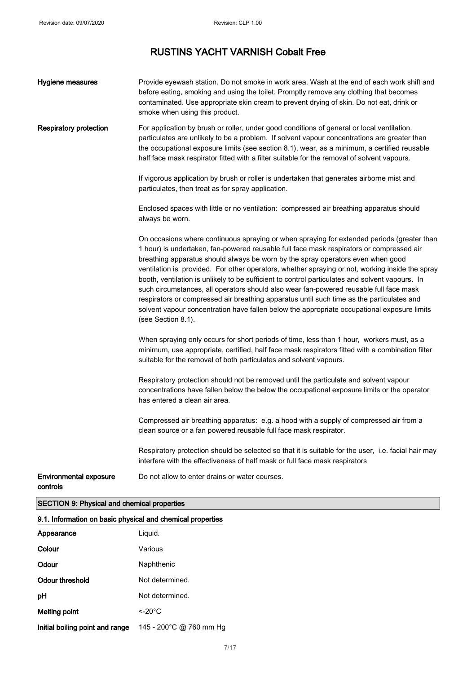| Hygiene measures                                           | Provide eyewash station. Do not smoke in work area. Wash at the end of each work shift and<br>before eating, smoking and using the toilet. Promptly remove any clothing that becomes<br>contaminated. Use appropriate skin cream to prevent drying of skin. Do not eat, drink or<br>smoke when using this product.                                                                                                                                                                                                                                                                                                                                                                                                                                                                          |  |
|------------------------------------------------------------|---------------------------------------------------------------------------------------------------------------------------------------------------------------------------------------------------------------------------------------------------------------------------------------------------------------------------------------------------------------------------------------------------------------------------------------------------------------------------------------------------------------------------------------------------------------------------------------------------------------------------------------------------------------------------------------------------------------------------------------------------------------------------------------------|--|
| <b>Respiratory protection</b>                              | For application by brush or roller, under good conditions of general or local ventilation.<br>particulates are unlikely to be a problem. If solvent vapour concentrations are greater than<br>the occupational exposure limits (see section 8.1), wear, as a minimum, a certified reusable<br>half face mask respirator fitted with a filter suitable for the removal of solvent vapours.                                                                                                                                                                                                                                                                                                                                                                                                   |  |
|                                                            | If vigorous application by brush or roller is undertaken that generates airborne mist and<br>particulates, then treat as for spray application.                                                                                                                                                                                                                                                                                                                                                                                                                                                                                                                                                                                                                                             |  |
|                                                            | Enclosed spaces with little or no ventilation: compressed air breathing apparatus should<br>always be worn.                                                                                                                                                                                                                                                                                                                                                                                                                                                                                                                                                                                                                                                                                 |  |
|                                                            | On occasions where continuous spraying or when spraying for extended periods (greater than<br>1 hour) is undertaken, fan-powered reusable full face mask respirators or compressed air<br>breathing apparatus should always be worn by the spray operators even when good<br>ventilation is provided. For other operators, whether spraying or not, working inside the spray<br>booth, ventilation is unlikely to be sufficient to control particulates and solvent vapours. In<br>such circumstances, all operators should also wear fan-powered reusable full face mask<br>respirators or compressed air breathing apparatus until such time as the particulates and<br>solvent vapour concentration have fallen below the appropriate occupational exposure limits<br>(see Section 8.1). |  |
|                                                            | When spraying only occurs for short periods of time, less than 1 hour, workers must, as a<br>minimum, use appropriate, certified, half face mask respirators fitted with a combination filter<br>suitable for the removal of both particulates and solvent vapours.                                                                                                                                                                                                                                                                                                                                                                                                                                                                                                                         |  |
|                                                            | Respiratory protection should not be removed until the particulate and solvent vapour<br>concentrations have fallen below the below the occupational exposure limits or the operator<br>has entered a clean air area.                                                                                                                                                                                                                                                                                                                                                                                                                                                                                                                                                                       |  |
|                                                            | Compressed air breathing apparatus: e.g. a hood with a supply of compressed air from a<br>clean source or a fan powered reusable full face mask respirator.                                                                                                                                                                                                                                                                                                                                                                                                                                                                                                                                                                                                                                 |  |
|                                                            | Respiratory protection should be selected so that it is suitable for the user, i.e. facial hair may<br>interfere with the effectiveness of half mask or full face mask respirators                                                                                                                                                                                                                                                                                                                                                                                                                                                                                                                                                                                                          |  |
| <b>Environmental exposure</b><br>controls                  | Do not allow to enter drains or water courses.                                                                                                                                                                                                                                                                                                                                                                                                                                                                                                                                                                                                                                                                                                                                              |  |
| <b>SECTION 9: Physical and chemical properties</b>         |                                                                                                                                                                                                                                                                                                                                                                                                                                                                                                                                                                                                                                                                                                                                                                                             |  |
| 9.1. Information on basic physical and chemical properties |                                                                                                                                                                                                                                                                                                                                                                                                                                                                                                                                                                                                                                                                                                                                                                                             |  |
| Appearance                                                 | Liquid.                                                                                                                                                                                                                                                                                                                                                                                                                                                                                                                                                                                                                                                                                                                                                                                     |  |
| Colour                                                     | Various                                                                                                                                                                                                                                                                                                                                                                                                                                                                                                                                                                                                                                                                                                                                                                                     |  |
| Odour                                                      | Naphthenic                                                                                                                                                                                                                                                                                                                                                                                                                                                                                                                                                                                                                                                                                                                                                                                  |  |
| <b>Odour threshold</b>                                     | Not determined.                                                                                                                                                                                                                                                                                                                                                                                                                                                                                                                                                                                                                                                                                                                                                                             |  |
| рH                                                         | Not determined.                                                                                                                                                                                                                                                                                                                                                                                                                                                                                                                                                                                                                                                                                                                                                                             |  |
| <b>Melting point</b>                                       | $\leq$ -20 $^{\circ}$ C                                                                                                                                                                                                                                                                                                                                                                                                                                                                                                                                                                                                                                                                                                                                                                     |  |

Initial boiling point and range 145 - 200°C @ 760 mm Hg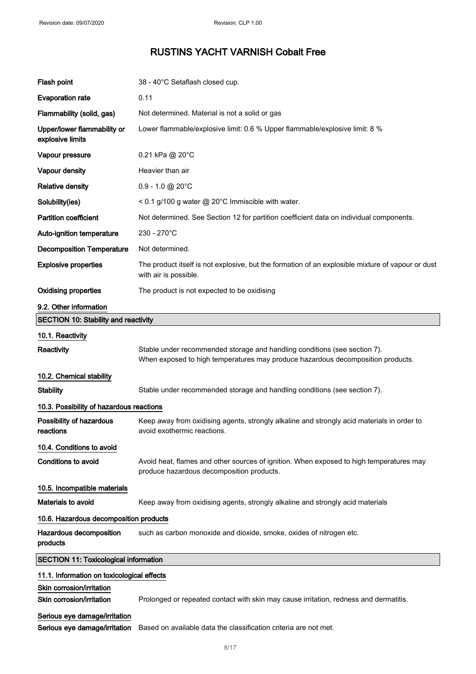| Flash point                                            | 38 - 40°C Setaflash closed cup.                                                                                                                              |  |
|--------------------------------------------------------|--------------------------------------------------------------------------------------------------------------------------------------------------------------|--|
| <b>Evaporation rate</b>                                | 0.11                                                                                                                                                         |  |
| Flammability (solid, gas)                              | Not determined. Material is not a solid or gas                                                                                                               |  |
| Upper/lower flammability or<br>explosive limits        | Lower flammable/explosive limit: 0.6 % Upper flammable/explosive limit: 8 %                                                                                  |  |
| Vapour pressure                                        | 0.21 kPa @ 20°C                                                                                                                                              |  |
| Vapour density                                         | Heavier than air                                                                                                                                             |  |
| <b>Relative density</b>                                | $0.9 - 1.0$ @ 20 $^{\circ}$ C                                                                                                                                |  |
| Solubility(ies)                                        | < 0.1 g/100 g water @ 20°C Immiscible with water.                                                                                                            |  |
| <b>Partition coefficient</b>                           | Not determined. See Section 12 for partition coefficient data on individual components.                                                                      |  |
| Auto-ignition temperature                              | 230 - 270°C                                                                                                                                                  |  |
| <b>Decomposition Temperature</b>                       | Not determined.                                                                                                                                              |  |
| <b>Explosive properties</b>                            | The product itself is not explosive, but the formation of an explosible mixture of vapour or dust<br>with air is possible.                                   |  |
| <b>Oxidising properties</b>                            | The product is not expected to be oxidising                                                                                                                  |  |
| 9.2. Other information                                 |                                                                                                                                                              |  |
| <b>SECTION 10: Stability and reactivity</b>            |                                                                                                                                                              |  |
| 10.1. Reactivity                                       |                                                                                                                                                              |  |
| Reactivity                                             | Stable under recommended storage and handling conditions (see section 7).<br>When exposed to high temperatures may produce hazardous decomposition products. |  |
| 10.2. Chemical stability                               |                                                                                                                                                              |  |
| <b>Stability</b>                                       | Stable under recommended storage and handling conditions (see section 7).                                                                                    |  |
| 10.3. Possibility of hazardous reactions               |                                                                                                                                                              |  |
| Possibility of hazardous<br>reactions                  | Keep away from oxidising agents, strongly alkaline and strongly acid materials in order to<br>avoid exothermic reactions.                                    |  |
| 10.4. Conditions to avoid                              |                                                                                                                                                              |  |
| <b>Conditions to avoid</b>                             | Avoid heat, flames and other sources of ignition. When exposed to high temperatures may<br>produce hazardous decomposition products.                         |  |
| 10.5. Incompatible materials                           |                                                                                                                                                              |  |
| <b>Materials to avoid</b>                              | Keep away from oxidising agents, strongly alkaline and strongly acid materials                                                                               |  |
| 10.6. Hazardous decomposition products                 |                                                                                                                                                              |  |
| Hazardous decomposition<br>products                    | such as carbon monoxide and dioxide, smoke, oxides of nitrogen etc.                                                                                          |  |
| <b>SECTION 11: Toxicological information</b>           |                                                                                                                                                              |  |
| 11.1. Information on toxicological effects             |                                                                                                                                                              |  |
| Skin corrosion/irritation<br>Skin corrosion/irritation | Prolonged or repeated contact with skin may cause irritation, redness and dermatitis.                                                                        |  |
| Serious eye damage/irritation                          |                                                                                                                                                              |  |

Serious eye damage/irritation Based on available data the classification criteria are not met.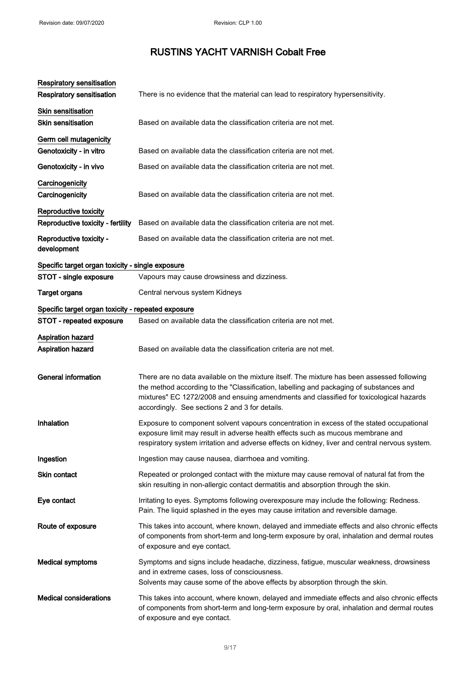| <b>Respiratory sensitisation</b>                   |                                                                                                                                                                                                                                                                                                                                  |
|----------------------------------------------------|----------------------------------------------------------------------------------------------------------------------------------------------------------------------------------------------------------------------------------------------------------------------------------------------------------------------------------|
| <b>Respiratory sensitisation</b>                   | There is no evidence that the material can lead to respiratory hypersensitivity.                                                                                                                                                                                                                                                 |
| <b>Skin sensitisation</b>                          |                                                                                                                                                                                                                                                                                                                                  |
| <b>Skin sensitisation</b>                          | Based on available data the classification criteria are not met.                                                                                                                                                                                                                                                                 |
| Germ cell mutagenicity                             |                                                                                                                                                                                                                                                                                                                                  |
| Genotoxicity - in vitro                            | Based on available data the classification criteria are not met.                                                                                                                                                                                                                                                                 |
| Genotoxicity - in vivo                             | Based on available data the classification criteria are not met.                                                                                                                                                                                                                                                                 |
| Carcinogenicity<br>Carcinogenicity                 | Based on available data the classification criteria are not met.                                                                                                                                                                                                                                                                 |
| Reproductive toxicity                              |                                                                                                                                                                                                                                                                                                                                  |
| Reproductive toxicity - fertility                  | Based on available data the classification criteria are not met.                                                                                                                                                                                                                                                                 |
| Reproductive toxicity -<br>development             | Based on available data the classification criteria are not met.                                                                                                                                                                                                                                                                 |
| Specific target organ toxicity - single exposure   |                                                                                                                                                                                                                                                                                                                                  |
| STOT - single exposure                             | Vapours may cause drowsiness and dizziness.                                                                                                                                                                                                                                                                                      |
| <b>Target organs</b>                               | Central nervous system Kidneys                                                                                                                                                                                                                                                                                                   |
| Specific target organ toxicity - repeated exposure |                                                                                                                                                                                                                                                                                                                                  |
| STOT - repeated exposure                           | Based on available data the classification criteria are not met.                                                                                                                                                                                                                                                                 |
| <b>Aspiration hazard</b><br>Aspiration hazard      | Based on available data the classification criteria are not met.                                                                                                                                                                                                                                                                 |
| <b>General information</b>                         | There are no data available on the mixture itself. The mixture has been assessed following<br>the method according to the "Classification, labelling and packaging of substances and<br>mixtures" EC 1272/2008 and ensuing amendments and classified for toxicological hazards<br>accordingly. See sections 2 and 3 for details. |
| Inhalation                                         | Exposure to component solvent vapours concentration in excess of the stated occupational<br>exposure limit may result in adverse health effects such as mucous membrane and<br>respiratory system irritation and adverse effects on kidney, liver and central nervous system.                                                    |
| Ingestion                                          | Ingestion may cause nausea, diarrhoea and vomiting.                                                                                                                                                                                                                                                                              |
| Skin contact                                       | Repeated or prolonged contact with the mixture may cause removal of natural fat from the<br>skin resulting in non-allergic contact dermatitis and absorption through the skin.                                                                                                                                                   |
| Eye contact                                        | Irritating to eyes. Symptoms following overexposure may include the following: Redness.<br>Pain. The liquid splashed in the eyes may cause irritation and reversible damage.                                                                                                                                                     |
| Route of exposure                                  | This takes into account, where known, delayed and immediate effects and also chronic effects<br>of components from short-term and long-term exposure by oral, inhalation and dermal routes<br>of exposure and eye contact.                                                                                                       |
| <b>Medical symptoms</b>                            | Symptoms and signs include headache, dizziness, fatigue, muscular weakness, drowsiness<br>and in extreme cases, loss of consciousness.<br>Solvents may cause some of the above effects by absorption through the skin.                                                                                                           |
| <b>Medical considerations</b>                      | This takes into account, where known, delayed and immediate effects and also chronic effects<br>of components from short-term and long-term exposure by oral, inhalation and dermal routes<br>of exposure and eye contact.                                                                                                       |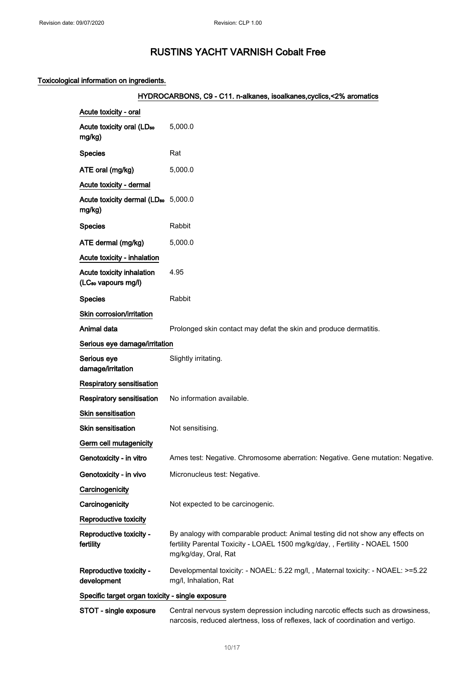## Toxicological information on ingredients.

## HYDROCARBONS, C9 - C11. n-alkanes, isoalkanes, cyclics, <2% aromatics

| Acute toxicity - oral                                        |                                                                                                                                                                                        |
|--------------------------------------------------------------|----------------------------------------------------------------------------------------------------------------------------------------------------------------------------------------|
| Acute toxicity oral (LD <sub>50</sub><br>mg/kg)              | 5,000.0                                                                                                                                                                                |
| <b>Species</b>                                               | Rat                                                                                                                                                                                    |
| ATE oral (mg/kg)                                             | 5,000.0                                                                                                                                                                                |
| Acute toxicity - dermal                                      |                                                                                                                                                                                        |
| Acute toxicity dermal (LD <sub>50</sub> 5,000.0<br>mg/kg)    |                                                                                                                                                                                        |
| <b>Species</b>                                               | Rabbit                                                                                                                                                                                 |
| ATE dermal (mg/kg)                                           | 5,000.0                                                                                                                                                                                |
| Acute toxicity - inhalation                                  |                                                                                                                                                                                        |
| Acute toxicity inhalation<br>(LC <sub>50</sub> vapours mg/l) | 4.95                                                                                                                                                                                   |
| <b>Species</b>                                               | Rabbit                                                                                                                                                                                 |
| Skin corrosion/irritation                                    |                                                                                                                                                                                        |
| Animal data                                                  | Prolonged skin contact may defat the skin and produce dermatitis.                                                                                                                      |
| Serious eye damage/irritation                                |                                                                                                                                                                                        |
| Serious eye<br>damage/irritation                             | Slightly irritating.                                                                                                                                                                   |
| <b>Respiratory sensitisation</b>                             |                                                                                                                                                                                        |
| <b>Respiratory sensitisation</b>                             | No information available.                                                                                                                                                              |
| Skin sensitisation                                           |                                                                                                                                                                                        |
| <b>Skin sensitisation</b>                                    | Not sensitising.                                                                                                                                                                       |
| Germ cell mutagenicity                                       |                                                                                                                                                                                        |
| Genotoxicity - in vitro                                      | Ames test: Negative. Chromosome aberration: Negative. Gene mutation: Negative.                                                                                                         |
| Genotoxicity - in vivo                                       | Micronucleus test: Negative.                                                                                                                                                           |
| Carcinogenicity                                              |                                                                                                                                                                                        |
| Carcinogenicity                                              | Not expected to be carcinogenic.                                                                                                                                                       |
| Reproductive toxicity                                        |                                                                                                                                                                                        |
| Reproductive toxicity -<br>fertility                         | By analogy with comparable product: Animal testing did not show any effects on<br>fertility Parental Toxicity - LOAEL 1500 mg/kg/day, , Fertility - NOAEL 1500<br>mg/kg/day, Oral, Rat |
| Reproductive toxicity -<br>development                       | Developmental toxicity: - NOAEL: 5.22 mg/l,, Maternal toxicity: - NOAEL: >=5.22<br>mg/l, Inhalation, Rat                                                                               |
| Specific target organ toxicity - single exposure             |                                                                                                                                                                                        |
| STOT - single exposure                                       | Central nervous system depression including narcotic effects such as drowsiness,                                                                                                       |

narcosis, reduced alertness, loss of reflexes, lack of coordination and vertigo.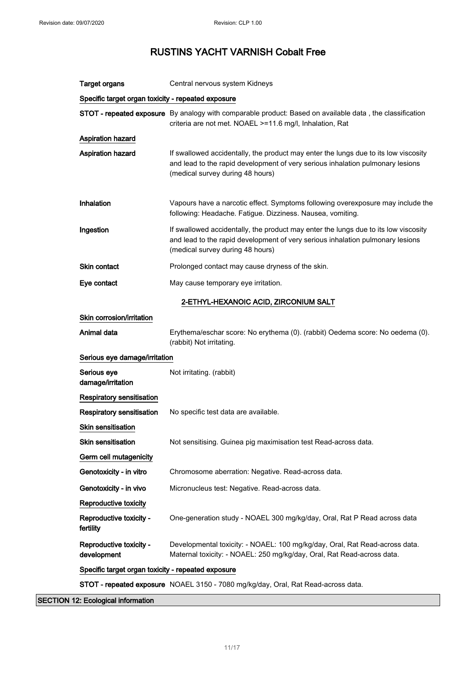| <b>Target organs</b>                               | Central nervous system Kidneys                                                                                                                                                                            |  |
|----------------------------------------------------|-----------------------------------------------------------------------------------------------------------------------------------------------------------------------------------------------------------|--|
| Specific target organ toxicity - repeated exposure |                                                                                                                                                                                                           |  |
|                                                    | STOT - repeated exposure By analogy with comparable product: Based on available data, the classification<br>criteria are not met. NOAEL >=11.6 mg/l, Inhalation, Rat                                      |  |
| <b>Aspiration hazard</b>                           |                                                                                                                                                                                                           |  |
| <b>Aspiration hazard</b>                           | If swallowed accidentally, the product may enter the lungs due to its low viscosity<br>and lead to the rapid development of very serious inhalation pulmonary lesions<br>(medical survey during 48 hours) |  |
| Inhalation                                         | Vapours have a narcotic effect. Symptoms following overexposure may include the<br>following: Headache. Fatigue. Dizziness. Nausea, vomiting.                                                             |  |
| Ingestion                                          | If swallowed accidentally, the product may enter the lungs due to its low viscosity<br>and lead to the rapid development of very serious inhalation pulmonary lesions<br>(medical survey during 48 hours) |  |
| <b>Skin contact</b>                                | Prolonged contact may cause dryness of the skin.                                                                                                                                                          |  |
| Eye contact                                        | May cause temporary eye irritation.                                                                                                                                                                       |  |
|                                                    | 2-ETHYL-HEXANOIC ACID, ZIRCONIUM SALT                                                                                                                                                                     |  |
| Skin corrosion/irritation                          |                                                                                                                                                                                                           |  |
| Animal data                                        | Erythema/eschar score: No erythema (0). (rabbit) Oedema score: No oedema (0).<br>(rabbit) Not irritating.                                                                                                 |  |
| Serious eye damage/irritation                      |                                                                                                                                                                                                           |  |
| Serious eye<br>damage/irritation                   | Not irritating. (rabbit)                                                                                                                                                                                  |  |
| Respiratory sensitisation                          |                                                                                                                                                                                                           |  |
| Respiratory sensitisation                          | No specific test data are available.                                                                                                                                                                      |  |
| <b>Skin sensitisation</b>                          |                                                                                                                                                                                                           |  |
| <b>Skin sensitisation</b>                          | Not sensitising. Guinea pig maximisation test Read-across data.                                                                                                                                           |  |
| Germ cell mutagenicity                             |                                                                                                                                                                                                           |  |
| Genotoxicity - in vitro                            | Chromosome aberration: Negative. Read-across data.                                                                                                                                                        |  |
| Genotoxicity - in vivo                             | Micronucleus test: Negative. Read-across data.                                                                                                                                                            |  |
| Reproductive toxicity                              |                                                                                                                                                                                                           |  |
| Reproductive toxicity -<br>fertility               | One-generation study - NOAEL 300 mg/kg/day, Oral, Rat P Read across data                                                                                                                                  |  |
| Reproductive toxicity -<br>development             | Developmental toxicity: - NOAEL: 100 mg/kg/day, Oral, Rat Read-across data.<br>Maternal toxicity: - NOAEL: 250 mg/kg/day, Oral, Rat Read-across data.                                                     |  |
| Specific target organ toxicity - repeated exposure |                                                                                                                                                                                                           |  |
|                                                    | STOT - repeated exposure NOAEL 3150 - 7080 mg/kg/day, Oral, Rat Read-across data.                                                                                                                         |  |

SECTION 12: Ecological information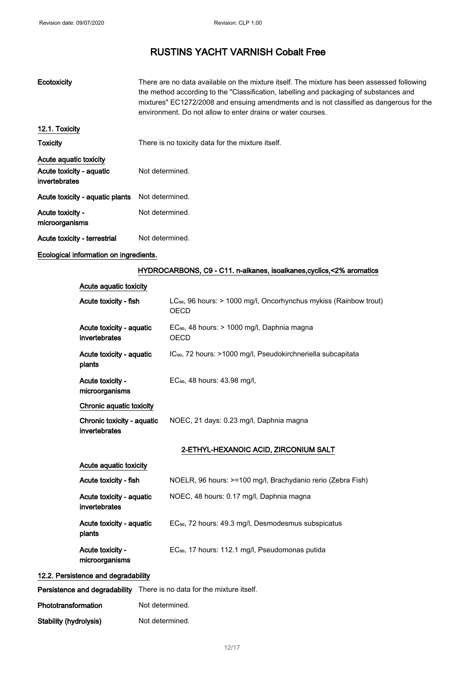| Ecotoxicity                               | There are no data available on the mixture itself. The mixture has been assessed following<br>the method according to the "Classification, labelling and packaging of substances and<br>mixtures" EC1272/2008 and ensuing amendments and is not classified as dangerous for the<br>environment. Do not allow to enter drains or water courses. |
|-------------------------------------------|------------------------------------------------------------------------------------------------------------------------------------------------------------------------------------------------------------------------------------------------------------------------------------------------------------------------------------------------|
| 12.1. Toxicity                            |                                                                                                                                                                                                                                                                                                                                                |
| <b>Toxicity</b>                           | There is no toxicity data for the mixture itself.                                                                                                                                                                                                                                                                                              |
| Acute aquatic toxicity                    |                                                                                                                                                                                                                                                                                                                                                |
| Acute toxicity - aquatic<br>invertebrates | Not determined.                                                                                                                                                                                                                                                                                                                                |
| Acute toxicity - aquatic plants           | Not determined.                                                                                                                                                                                                                                                                                                                                |
| Acute toxicity -<br>microorganisms        | Not determined.                                                                                                                                                                                                                                                                                                                                |
| Acute toxicity - terrestrial              | Not determined.                                                                                                                                                                                                                                                                                                                                |

## Ecological information on ingredients.

## HYDROCARBONS, C9 - C11. n-alkanes, isoalkanes, cyclics, <2% aromatics

| Acute aquatic toxicity |  |  |  |
|------------------------|--|--|--|
|------------------------|--|--|--|

| Acute toxicity - fish                       | LC <sub>50</sub> , 96 hours: > 1000 mg/l, Oncorhynchus mykiss (Rainbow trout)<br><b>OECD</b> |
|---------------------------------------------|----------------------------------------------------------------------------------------------|
| Acute toxicity - aquatic<br>invertebrates   | EC <sub>50</sub> , 48 hours: > 1000 mg/l, Daphnia magna<br><b>OECD</b>                       |
| Acute toxicity - aquatic<br>plants          | IC <sub>50</sub> , 72 hours: >1000 mg/l, Pseudokirchneriella subcapitata                     |
| Acute toxicity -<br>microorganisms          | EC <sub>50</sub> , 48 hours: 43.98 mg/l,                                                     |
| Chronic aquatic toxicity                    |                                                                                              |
| Chronic toxicity - aquatic<br>invertebrates | NOEC, 21 days: 0.23 mg/l, Daphnia magna                                                      |
|                                             | 2-ETHYL-HEXANOIC ACID, ZIRCONIUM SALT                                                        |
| Acute aquatic toxicity                      |                                                                                              |
| Acute toxicity - fish                       | NOELR, 96 hours: >=100 mg/l, Brachydanio rerio (Zebra Fish)                                  |
| Acute toxicity - aquatic<br>invertebrates   | NOEC, 48 hours: 0.17 mg/l, Daphnia magna                                                     |
| Acute toxicity - aquatic<br>plants          | EC <sub>50</sub> , 72 hours: 49.3 mg/l, Desmodesmus subspicatus                              |
| Acute toxicity -<br>microorganisms          | EC <sub>50</sub> , 17 hours: 112.1 mg/l, Pseudomonas putida                                  |
| 12.2. Persistence and degradability         |                                                                                              |
|                                             |                                                                                              |

Persistence and degradability There is no data for the mixture itself.

| Phototransformation | Not determined. |
|---------------------|-----------------|
|                     |                 |

Stability (hydrolysis) Not determined.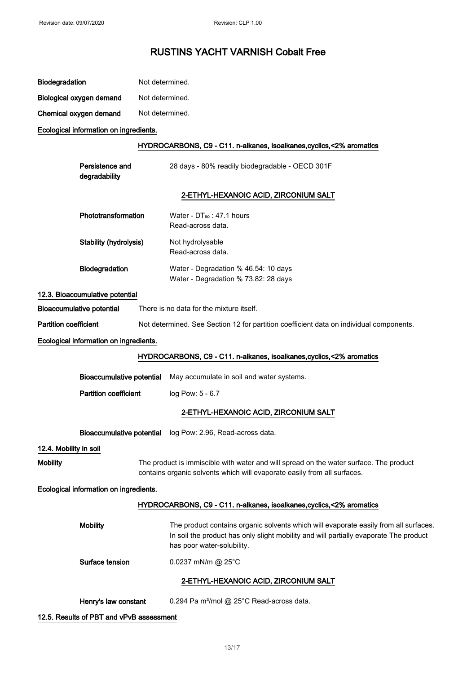| <b>Biodegradation</b> | Not determined. |
|-----------------------|-----------------|
|                       |                 |

| Biological oxygen demand | Not determined. |
|--------------------------|-----------------|
|--------------------------|-----------------|

Chemical oxygen demand Not determined.

Ecological information on ingredients.

#### HYDROCARBONS, C9 - C11. n-alkanes, isoalkanes,cyclics,<2% aromatics

| Persistence and<br>degradability | 28 days - 80% readily biodegradable - OECD 301F                              |  |
|----------------------------------|------------------------------------------------------------------------------|--|
|                                  | 2-ETHYL-HEXANOIC ACID, ZIRCONIUM SALT                                        |  |
| Phototransformation              | Water - $DT_{50}$ : 47.1 hours<br>Read-across data.                          |  |
| <b>Stability (hydrolysis)</b>    | Not hydrolysable<br>Read-across data.                                        |  |
| <b>Biodegradation</b>            | Water - Degradation % 46.54: 10 days<br>Water - Degradation % 73.82: 28 days |  |
|                                  |                                                                              |  |

### 12.3. Bioaccumulative potential

Bioaccumulative potential There is no data for the mixture itself.

Partition coefficient Not determined. See Section 12 for partition coefficient data on individual components.

#### Ecological information on ingredients.

### HYDROCARBONS, C9 - C11. n-alkanes, isoalkanes,cyclics,<2% aromatics

Bioaccumulative potential May accumulate in soil and water systems.

Partition coefficient log Pow: 5 - 6.7

## 2-ETHYL-HEXANOIC ACID, ZIRCONIUM SALT

Bioaccumulative potential log Pow: 2.96, Read-across data.

### 12.4. Mobility in soil

Mobility **The product is immiscible with water and will spread on the water surface. The product** contains organic solvents which will evaporate easily from all surfaces.

#### Ecological information on ingredients.

### HYDROCARBONS, C9 - C11. n-alkanes, isoalkanes, cyclics, <2% aromatics

| <b>Mobility</b>                       | The product contains organic solvents which will evaporate easily from all surfaces.<br>In soil the product has only slight mobility and will partially evaporate The product<br>has poor water-solubility. |  |
|---------------------------------------|-------------------------------------------------------------------------------------------------------------------------------------------------------------------------------------------------------------|--|
| Surface tension                       | $0.0237$ mN/m @ 25°C                                                                                                                                                                                        |  |
| 2-ETHYL-HEXANOIC ACID, ZIRCONIUM SALT |                                                                                                                                                                                                             |  |

Henry's law constant 0.294 Pa m<sup>3</sup>/mol @ 25°C Read-across data.

### 12.5. Results of PBT and vPvB assessment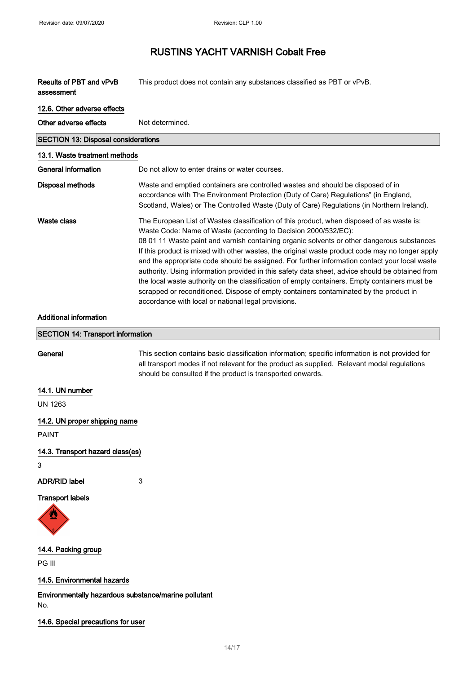| Results of PBT and vPvB<br>assessment                       | This product does not contain any substances classified as PBT or vPvB.                                                                                                                                                                                                                                                                                                                                                                                                                                                                                                                                                                                                                                                                                                                                           |  |
|-------------------------------------------------------------|-------------------------------------------------------------------------------------------------------------------------------------------------------------------------------------------------------------------------------------------------------------------------------------------------------------------------------------------------------------------------------------------------------------------------------------------------------------------------------------------------------------------------------------------------------------------------------------------------------------------------------------------------------------------------------------------------------------------------------------------------------------------------------------------------------------------|--|
| 12.6. Other adverse effects                                 |                                                                                                                                                                                                                                                                                                                                                                                                                                                                                                                                                                                                                                                                                                                                                                                                                   |  |
| Other adverse effects                                       | Not determined.                                                                                                                                                                                                                                                                                                                                                                                                                                                                                                                                                                                                                                                                                                                                                                                                   |  |
| <b>SECTION 13: Disposal considerations</b>                  |                                                                                                                                                                                                                                                                                                                                                                                                                                                                                                                                                                                                                                                                                                                                                                                                                   |  |
| 13.1. Waste treatment methods                               |                                                                                                                                                                                                                                                                                                                                                                                                                                                                                                                                                                                                                                                                                                                                                                                                                   |  |
| <b>General information</b>                                  | Do not allow to enter drains or water courses.                                                                                                                                                                                                                                                                                                                                                                                                                                                                                                                                                                                                                                                                                                                                                                    |  |
| <b>Disposal methods</b>                                     | Waste and emptied containers are controlled wastes and should be disposed of in<br>accordance with The Environment Protection (Duty of Care) Regulations" (in England,<br>Scotland, Wales) or The Controlled Waste (Duty of Care) Regulations (in Northern Ireland).                                                                                                                                                                                                                                                                                                                                                                                                                                                                                                                                              |  |
| <b>Waste class</b>                                          | The European List of Wastes classification of this product, when disposed of as waste is:<br>Waste Code: Name of Waste (according to Decision 2000/532/EC):<br>08 01 11 Waste paint and varnish containing organic solvents or other dangerous substances<br>If this product is mixed with other wastes, the original waste product code may no longer apply<br>and the appropriate code should be assigned. For further information contact your local waste<br>authority. Using information provided in this safety data sheet, advice should be obtained from<br>the local waste authority on the classification of empty containers. Empty containers must be<br>scrapped or reconditioned. Dispose of empty containers contaminated by the product in<br>accordance with local or national legal provisions. |  |
| <b>Additional information</b>                               |                                                                                                                                                                                                                                                                                                                                                                                                                                                                                                                                                                                                                                                                                                                                                                                                                   |  |
| <b>SECTION 14: Transport information</b>                    |                                                                                                                                                                                                                                                                                                                                                                                                                                                                                                                                                                                                                                                                                                                                                                                                                   |  |
| General                                                     | This section contains basic classification information; specific information is not provided for<br>all transport modes if not relevant for the product as supplied. Relevant modal regulations<br>should be consulted if the product is transported onwards.                                                                                                                                                                                                                                                                                                                                                                                                                                                                                                                                                     |  |
| 14.1. UN number                                             |                                                                                                                                                                                                                                                                                                                                                                                                                                                                                                                                                                                                                                                                                                                                                                                                                   |  |
| <b>UN 1263</b>                                              |                                                                                                                                                                                                                                                                                                                                                                                                                                                                                                                                                                                                                                                                                                                                                                                                                   |  |
| 14.2. UN proper shipping name<br><b>PAINT</b>               |                                                                                                                                                                                                                                                                                                                                                                                                                                                                                                                                                                                                                                                                                                                                                                                                                   |  |
| 14.3. Transport hazard class(es)                            |                                                                                                                                                                                                                                                                                                                                                                                                                                                                                                                                                                                                                                                                                                                                                                                                                   |  |
| 3                                                           |                                                                                                                                                                                                                                                                                                                                                                                                                                                                                                                                                                                                                                                                                                                                                                                                                   |  |
| <b>ADR/RID label</b>                                        | 3                                                                                                                                                                                                                                                                                                                                                                                                                                                                                                                                                                                                                                                                                                                                                                                                                 |  |
| <b>Transport labels</b>                                     |                                                                                                                                                                                                                                                                                                                                                                                                                                                                                                                                                                                                                                                                                                                                                                                                                   |  |
| 14.4. Packing group                                         |                                                                                                                                                                                                                                                                                                                                                                                                                                                                                                                                                                                                                                                                                                                                                                                                                   |  |
| PG III                                                      |                                                                                                                                                                                                                                                                                                                                                                                                                                                                                                                                                                                                                                                                                                                                                                                                                   |  |
| 14.5. Environmental hazards                                 |                                                                                                                                                                                                                                                                                                                                                                                                                                                                                                                                                                                                                                                                                                                                                                                                                   |  |
| Environmentally hazardous substance/marine pollutant<br>No. |                                                                                                                                                                                                                                                                                                                                                                                                                                                                                                                                                                                                                                                                                                                                                                                                                   |  |
| 14.6. Special precautions for user                          |                                                                                                                                                                                                                                                                                                                                                                                                                                                                                                                                                                                                                                                                                                                                                                                                                   |  |

14/ 17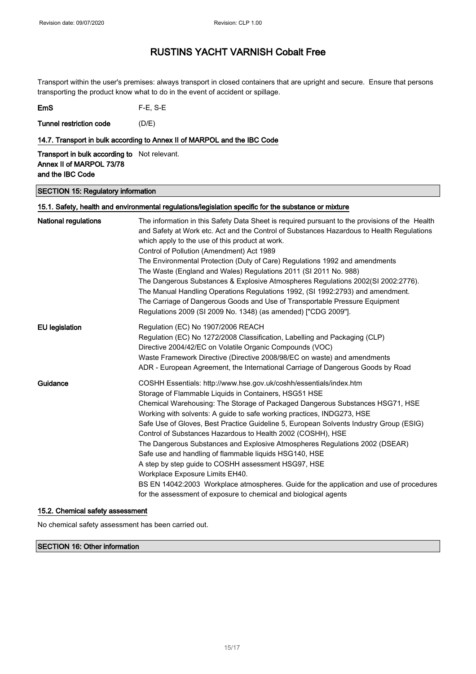Transport within the user's premises: always transport in closed containers that are upright and secure. Ensure that persons transporting the product know what to do in the event of accident or spillage.

| <b>EmS</b> | $F-E$ , S-E |
|------------|-------------|
|------------|-------------|

Tunnel restriction code (D/E)

### 14.7. Transport in bulk according to Annex II of MARPOL and the IBC Code

**Transport in bulk according to** Not relevant. Annex II of MARPOL 73/78 and the IBC Code

#### SECTION 15: Regulatory information

## 15.1. Safety, health and environmental regulations/legislation specific for the substance or mixture National regulations The information in this Safety Data Sheet is required pursuant to the provisions of the Health and Safety at Work etc. Act and the Control of Substances Hazardous to Health Regulations which apply to the use of this product at work. Control of Pollution (Amendment) Act 1989 The Environmental Protection (Duty of Care) Regulations 1992 and amendments The Waste (England and Wales) Regulations 2011 (SI 2011 No. 988) The Dangerous Substances & Explosive Atmospheres Regulations 2002(SI 2002:2776). The Manual Handling Operations Regulations 1992, (SI 1992:2793) and amendment. The Carriage of Dangerous Goods and Use of Transportable Pressure Equipment Regulations 2009 (SI 2009 No. 1348) (as amended) ["CDG 2009"]. EU legislation Regulation (EC) No 1907/2006 REACH Regulation (EC) No 1272/2008 Classification, Labelling and Packaging (CLP) Directive 2004/42/EC on Volatile Organic Compounds (VOC) Waste Framework Directive (Directive 2008/98/EC on waste) and amendments ADR - European Agreement, the International Carriage of Dangerous Goods by Road Guidance **COSHH Essentials: http://www.hse.gov.uk/coshh/essentials/index.htm** Storage of Flammable Liquids in Containers, HSG51 HSE Chemical Warehousing: The Storage of Packaged Dangerous Substances HSG71, HSE Working with solvents: A guide to safe working practices, INDG273, HSE Safe Use of Gloves, Best Practice Guideline 5, European Solvents Industry Group (ESIG) Control of Substances Hazardous to Health 2002 (COSHH), HSE The Dangerous Substances and Explosive Atmospheres Regulations 2002 (DSEAR) Safe use and handling of flammable liquids HSG140, HSE A step by step guide to COSHH assessment HSG97, HSE Workplace Exposure Limits EH40. BS EN 14042:2003 Workplace atmospheres. Guide for the application and use of procedures for the assessment of exposure to chemical and biological agents

### 15.2. Chemical safety assessment

No chemical safety assessment has been carried out.

SECTION 16: Other information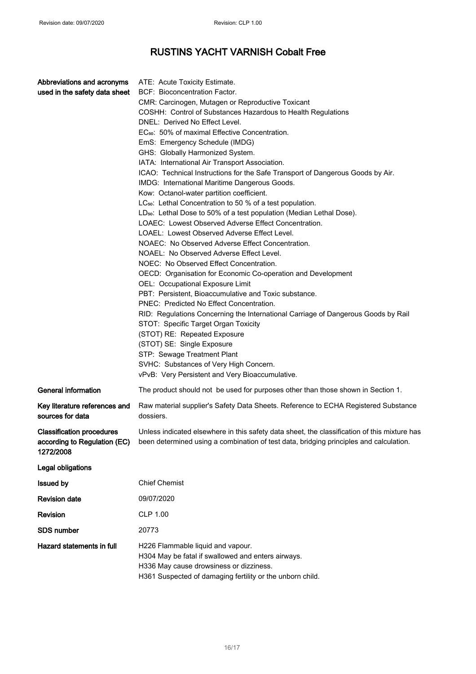| Abbreviations and acronyms<br>used in the safety data sheet                   | ATE: Acute Toxicity Estimate.<br>BCF: Bioconcentration Factor.<br>CMR: Carcinogen, Mutagen or Reproductive Toxicant<br>COSHH: Control of Substances Hazardous to Health Regulations<br>DNEL: Derived No Effect Level.<br>EC <sub>50</sub> : 50% of maximal Effective Concentration.<br>EmS: Emergency Schedule (IMDG)<br>GHS: Globally Harmonized System.<br>IATA: International Air Transport Association.<br>ICAO: Technical Instructions for the Safe Transport of Dangerous Goods by Air.<br>IMDG: International Maritime Dangerous Goods.<br>Kow: Octanol-water partition coefficient.<br>LC <sub>50</sub> : Lethal Concentration to 50 % of a test population.<br>LD <sub>50</sub> : Lethal Dose to 50% of a test population (Median Lethal Dose).<br>LOAEC: Lowest Observed Adverse Effect Concentration.<br>LOAEL: Lowest Observed Adverse Effect Level.<br>NOAEC: No Observed Adverse Effect Concentration.<br>NOAEL: No Observed Adverse Effect Level.<br>NOEC: No Observed Effect Concentration.<br>OECD: Organisation for Economic Co-operation and Development<br>OEL: Occupational Exposure Limit<br>PBT: Persistent, Bioaccumulative and Toxic substance.<br>PNEC: Predicted No Effect Concentration.<br>RID: Regulations Concerning the International Carriage of Dangerous Goods by Rail<br>STOT: Specific Target Organ Toxicity<br>(STOT) RE: Repeated Exposure<br>(STOT) SE: Single Exposure<br>STP: Sewage Treatment Plant<br>SVHC: Substances of Very High Concern.<br>vPvB: Very Persistent and Very Bioaccumulative. |
|-------------------------------------------------------------------------------|---------------------------------------------------------------------------------------------------------------------------------------------------------------------------------------------------------------------------------------------------------------------------------------------------------------------------------------------------------------------------------------------------------------------------------------------------------------------------------------------------------------------------------------------------------------------------------------------------------------------------------------------------------------------------------------------------------------------------------------------------------------------------------------------------------------------------------------------------------------------------------------------------------------------------------------------------------------------------------------------------------------------------------------------------------------------------------------------------------------------------------------------------------------------------------------------------------------------------------------------------------------------------------------------------------------------------------------------------------------------------------------------------------------------------------------------------------------------------------------------------------------------------------------------|
| <b>General information</b>                                                    | The product should not be used for purposes other than those shown in Section 1.                                                                                                                                                                                                                                                                                                                                                                                                                                                                                                                                                                                                                                                                                                                                                                                                                                                                                                                                                                                                                                                                                                                                                                                                                                                                                                                                                                                                                                                            |
| Key literature references and<br>sources for data                             | Raw material supplier's Safety Data Sheets. Reference to ECHA Registered Substance<br>dossiers.                                                                                                                                                                                                                                                                                                                                                                                                                                                                                                                                                                                                                                                                                                                                                                                                                                                                                                                                                                                                                                                                                                                                                                                                                                                                                                                                                                                                                                             |
| <b>Classification procedures</b><br>according to Regulation (EC)<br>1272/2008 | Unless indicated elsewhere in this safety data sheet, the classification of this mixture has<br>been determined using a combination of test data, bridging principles and calculation.                                                                                                                                                                                                                                                                                                                                                                                                                                                                                                                                                                                                                                                                                                                                                                                                                                                                                                                                                                                                                                                                                                                                                                                                                                                                                                                                                      |
| Legal obligations                                                             |                                                                                                                                                                                                                                                                                                                                                                                                                                                                                                                                                                                                                                                                                                                                                                                                                                                                                                                                                                                                                                                                                                                                                                                                                                                                                                                                                                                                                                                                                                                                             |
| <b>Issued by</b>                                                              | <b>Chief Chemist</b>                                                                                                                                                                                                                                                                                                                                                                                                                                                                                                                                                                                                                                                                                                                                                                                                                                                                                                                                                                                                                                                                                                                                                                                                                                                                                                                                                                                                                                                                                                                        |
| <b>Revision date</b>                                                          | 09/07/2020                                                                                                                                                                                                                                                                                                                                                                                                                                                                                                                                                                                                                                                                                                                                                                                                                                                                                                                                                                                                                                                                                                                                                                                                                                                                                                                                                                                                                                                                                                                                  |
| Revision                                                                      | CLP 1.00                                                                                                                                                                                                                                                                                                                                                                                                                                                                                                                                                                                                                                                                                                                                                                                                                                                                                                                                                                                                                                                                                                                                                                                                                                                                                                                                                                                                                                                                                                                                    |
| <b>SDS number</b>                                                             | 20773                                                                                                                                                                                                                                                                                                                                                                                                                                                                                                                                                                                                                                                                                                                                                                                                                                                                                                                                                                                                                                                                                                                                                                                                                                                                                                                                                                                                                                                                                                                                       |
| Hazard statements in full                                                     | H226 Flammable liquid and vapour.<br>H304 May be fatal if swallowed and enters airways.<br>H336 May cause drowsiness or dizziness.<br>H361 Suspected of damaging fertility or the unborn child.                                                                                                                                                                                                                                                                                                                                                                                                                                                                                                                                                                                                                                                                                                                                                                                                                                                                                                                                                                                                                                                                                                                                                                                                                                                                                                                                             |